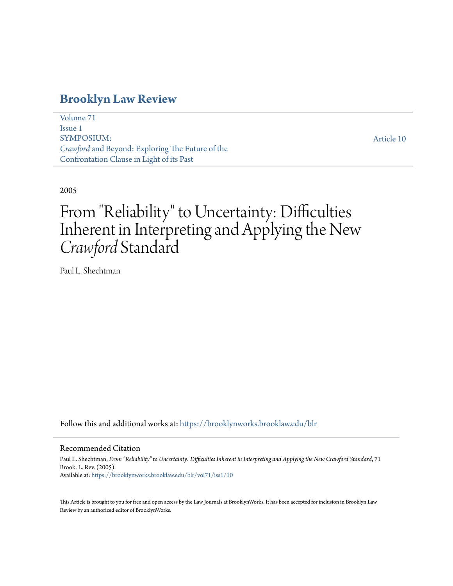## **[Brooklyn Law Review](https://brooklynworks.brooklaw.edu/blr?utm_source=brooklynworks.brooklaw.edu%2Fblr%2Fvol71%2Fiss1%2F10&utm_medium=PDF&utm_campaign=PDFCoverPages)**

[Volume 71](https://brooklynworks.brooklaw.edu/blr/vol71?utm_source=brooklynworks.brooklaw.edu%2Fblr%2Fvol71%2Fiss1%2F10&utm_medium=PDF&utm_campaign=PDFCoverPages) [Issue 1](https://brooklynworks.brooklaw.edu/blr/vol71/iss1?utm_source=brooklynworks.brooklaw.edu%2Fblr%2Fvol71%2Fiss1%2F10&utm_medium=PDF&utm_campaign=PDFCoverPages) SYMPOSIUM: *Crawford* and Beyond: Exploring The Future of the Confrontation Clause in Light of its Past

[Article 10](https://brooklynworks.brooklaw.edu/blr/vol71/iss1/10?utm_source=brooklynworks.brooklaw.edu%2Fblr%2Fvol71%2Fiss1%2F10&utm_medium=PDF&utm_campaign=PDFCoverPages)

2005

# From "Reliability" to Uncertainty: Difficulties Inherent in Interpreting and Applying the New *Crawford* Standard

Paul L. Shechtman

Follow this and additional works at: [https://brooklynworks.brooklaw.edu/blr](https://brooklynworks.brooklaw.edu/blr?utm_source=brooklynworks.brooklaw.edu%2Fblr%2Fvol71%2Fiss1%2F10&utm_medium=PDF&utm_campaign=PDFCoverPages)

#### Recommended Citation

Paul L. Shechtman, *From "Reliability" to Uncertainty: Difficulties Inherent in Interpreting and Applying the New Crawford Standard*, 71 Brook. L. Rev. (2005). Available at: [https://brooklynworks.brooklaw.edu/blr/vol71/iss1/10](https://brooklynworks.brooklaw.edu/blr/vol71/iss1/10?utm_source=brooklynworks.brooklaw.edu%2Fblr%2Fvol71%2Fiss1%2F10&utm_medium=PDF&utm_campaign=PDFCoverPages)

This Article is brought to you for free and open access by the Law Journals at BrooklynWorks. It has been accepted for inclusion in Brooklyn Law Review by an authorized editor of BrooklynWorks.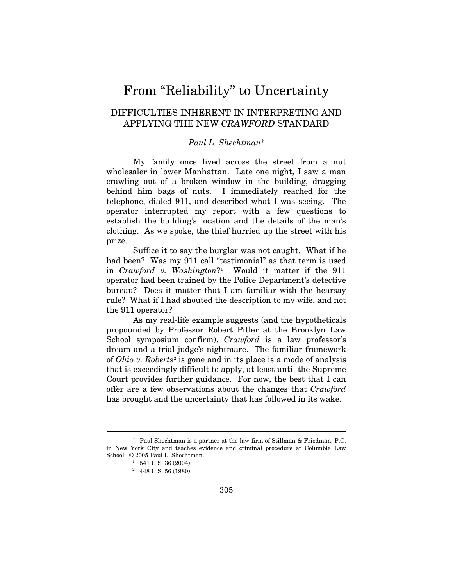# From "Reliability" to Uncertainty

## DIFFICULTIES INHERENT IN INTERPRETING AND APPLYING THE NEW *CRAWFORD* STANDARD

### *Paul L. Shechtman*[†](#page-1-0)

My family once lived across the street from a nut wholesaler in lower Manhattan. Late one night, I saw a man crawling out of a broken window in the building, dragging behind him bags of nuts. I immediately reached for the telephone, dialed 911, and described what I was seeing. The operator interrupted my report with a few questions to establish the building's location and the details of the man's clothing. As we spoke, the thief hurried up the street with his prize.

Suffice it to say the burglar was not caught. What if he had been? Was my 911 call "testimonial" as that term is used in *Crawford v. Washington*?[1](#page-1-1) Would it matter if the 911 operator had been trained by the Police Department's detective bureau? Does it matter that I am familiar with the hearsay rule? What if I had shouted the description to my wife, and not the 911 operator?

As my real-life example suggests (and the hypotheticals propounded by Professor Robert Pitler at the Brooklyn Law School symposium confirm), *Crawford* is a law professor's dream and a trial judge's nightmare. The familiar framework of *Ohio v. Roberts*[2](#page-1-2) is gone and in its place is a mode of analysis that is exceedingly difficult to apply, at least until the Supreme Court provides further guidance. For now, the best that I can offer are a few observations about the changes that *Crawford* has brought and the uncertainty that has followed in its wake.

 $\overline{a}$ 

<span id="page-1-2"></span><span id="page-1-1"></span><span id="page-1-0"></span> <sup>†</sup> Paul Shechtman is a partner at the law firm of Stillman & Friedman, P.C. in New York City and teaches evidence and criminal procedure at Columbia Law School. © 2005 Paul L. Shechtman.<br><sup>1</sup> 541 U.S. 36 (2004).

 $2\quad 448$  U.S. 56 (1980).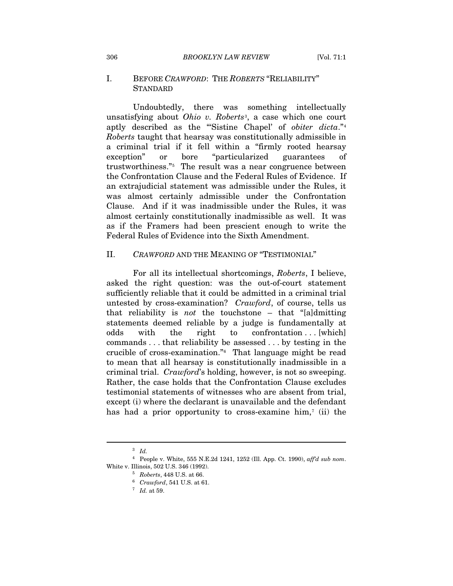#### I. BEFORE *CRAWFORD*: THE *ROBERTS* "RELIABILITY" **STANDARD**

Undoubtedly, there was something intellectually unsatisfying about *Ohio v. Roberts*[3](#page-2-0), a case which one court aptly described as the "'Sistine Chapel' of *obiter dicta*."[4](#page-2-1) *Roberts* taught that hearsay was constitutionally admissible in a criminal trial if it fell within a "firmly rooted hearsay exception" or bore "particularized guarantees of trustworthiness."[5](#page-2-2) The result was a near congruence between the Confrontation Clause and the Federal Rules of Evidence. If an extrajudicial statement was admissible under the Rules, it was almost certainly admissible under the Confrontation Clause. And if it was inadmissible under the Rules, it was almost certainly constitutionally inadmissible as well. It was as if the Framers had been prescient enough to write the Federal Rules of Evidence into the Sixth Amendment.

#### II. *CRAWFORD* AND THE MEANING OF "TESTIMONIAL"

For all its intellectual shortcomings, *Roberts*, I believe, asked the right question: was the out-of-court statement sufficiently reliable that it could be admitted in a criminal trial untested by cross-examination? *Crawford*, of course, tells us that reliability is *not* the touchstone – that "[a]dmitting statements deemed reliable by a judge is fundamentally at odds with the right to confrontation . . [which] commands . . . that reliability be assessed . . . by testing in the crucible of cross-examination."[6](#page-2-3) That language might be read to mean that all hearsay is constitutionally inadmissible in a criminal trial. *Crawford*'s holding, however, is not so sweeping. Rather, the case holds that the Confrontation Clause excludes testimonial statements of witnesses who are absent from trial, except (i) where the declarant is unavailable and the defendant has had a prior opportunity to cross-examine him,<sup>7</sup> (ii) the

 $\overline{a}$ 

<sup>3</sup> *Id.*

<span id="page-2-4"></span><span id="page-2-3"></span><span id="page-2-2"></span><span id="page-2-1"></span><span id="page-2-0"></span><sup>4</sup> People v. White, 555 N.E.2d 1241, 1252 (Ill. App. Ct. 1990), *aff'd sub nom*. White v. Illinois, 502 U.S. 346 (1992). 5 *Roberts*, 448 U.S. at 66.

<sup>6</sup> *Crawford*, 541 U.S. at 61. 7 *Id.* at 59.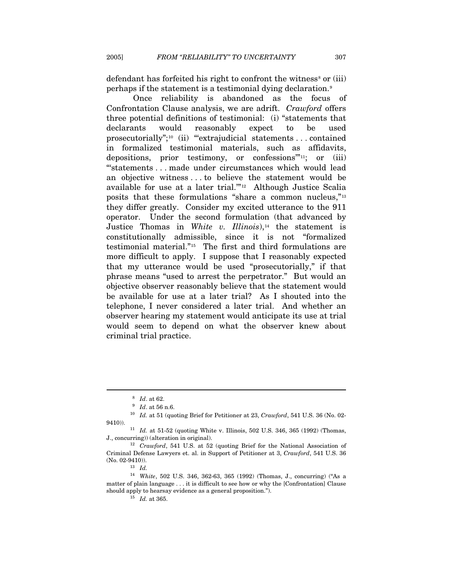defendant has forfeited his right to confront the witness<sup>[8](#page-3-0)</sup> or  $(iii)$ perhaps if the statement is a testimonial dying declaration.[9](#page-3-1)

Once reliability is abandoned as the focus of Confrontation Clause analysis, we are adrift. *Crawford* offers three potential definitions of testimonial: (i) "statements that declarants would reasonably expect to be used prosecutorially";<sup>[10](#page-3-2)</sup> (ii) "extrajudicial statements . . . contained in formalized testimonial materials, such as affidavits, depositions, prior testimony, or confessions'"[1](#page-3-3)1; or (iii) "'statements . . . made under circumstances which would lead an objective witness . . . to believe the statement would be available for use at a later trial.'"[12](#page-3-4) Although Justice Scalia posits that these formulations "share a common nucleus,"[13](#page-3-5) they differ greatly. Consider my excited utterance to the 911 operator. Under the second formulation (that advanced by Justice Thomas in *White v. Illinois*),<sup>[14](#page-3-6)</sup> the statement is constitutionally admissible, since it is not "formalized testimonial material."[1](#page-3-7)5 The first and third formulations are more difficult to apply. I suppose that I reasonably expected that my utterance would be used "prosecutorially," if that phrase means "used to arrest the perpetrator." But would an objective observer reasonably believe that the statement would be available for use at a later trial? As I shouted into the telephone, I never considered a later trial. And whether an observer hearing my statement would anticipate its use at trial would seem to depend on what the observer knew about criminal trial practice.

 $\overline{a}$ 

<span id="page-3-2"></span><span id="page-3-1"></span><span id="page-3-0"></span><sup>9</sup> *Id*. at 56 n.6. 10 *Id.* at 51 (quoting Brief for Petitioner at 23, *Crawford*, 541 U.S. 36 (No. 02- 9410)). 11 *Id.* at 51-52 (quoting White v. Illinois, 502 U.S. 346, 365 (1992) (Thomas,

<sup>8</sup> *Id*. at 62.

<span id="page-3-3"></span>J., concurring)) (alteration in original). 12 *Crawford*, 541 U.S. at 52 (quoting Brief for the National Association of

<span id="page-3-4"></span>Criminal Defense Lawyers et. al. in Support of Petitioner at 3, *Crawford*, 541 U.S. 36 (No. 02-9410)).<br>  $^{13}$   $\,$   $\!ld.$ 

<span id="page-3-7"></span><span id="page-3-6"></span><span id="page-3-5"></span><sup>14</sup> *White*, 502 U.S. 346, 362-63, 365 (1992) (Thomas, J., concurring) ("As a matter of plain language . . . it is difficult to see how or why the [Confrontation] Clause should apply to hearsay evidence as a general proposition."). 15 *Id.* at 365.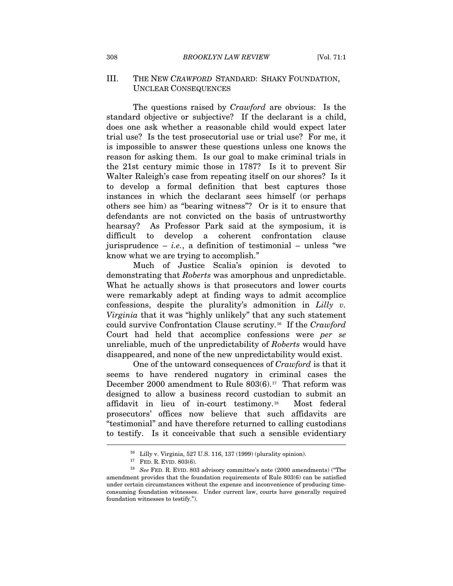### III. THE NEW *CRAWFORD* STANDARD: SHAKY FOUNDATION, UNCLEAR CONSEQUENCES

The questions raised by *Crawford* are obvious: Is the standard objective or subjective? If the declarant is a child, does one ask whether a reasonable child would expect later trial use? Is the test prosecutorial use or trial use? For me, it is impossible to answer these questions unless one knows the reason for asking them. Is our goal to make criminal trials in the 21st century mimic those in 1787? Is it to prevent Sir Walter Raleigh's case from repeating itself on our shores? Is it to develop a formal definition that best captures those instances in which the declarant sees himself (or perhaps others see him) as "bearing witness"? Or is it to ensure that defendants are not convicted on the basis of untrustworthy hearsay? As Professor Park said at the symposium, it is difficult to develop a coherent confrontation clause jurisprudence  $-$  *i.e.*, a definition of testimonial  $-$  unless "we know what we are trying to accomplish."

Much of Justice Scalia's opinion is devoted to demonstrating that *Roberts* was amorphous and unpredictable. What he actually shows is that prosecutors and lower courts were remarkably adept at finding ways to admit accomplice confessions, despite the plurality's admonition in *Lilly v. Virginia* that it was "highly unlikely" that any such statement could survive Confrontation Clause scrutiny.[1](#page-4-0)6 If the *Crawford* Court had held that accomplice confessions were *per se* unreliable, much of the unpredictability of *Roberts* would have disappeared, and none of the new unpredictability would exist.

One of the untoward consequences of *Crawford* is that it seems to have rendered nugatory in criminal cases the December 2000 amendment to Rule 803(6).<sup>[1](#page-4-1)7</sup> That reform was designed to allow a business record custodian to submit an affidavit in lieu of in-court testimony.[18](#page-4-2) Most federal prosecutors' offices now believe that such affidavits are "testimonial" and have therefore returned to calling custodians to testify. Is it conceivable that such a sensible evidentiary  $\overline{a}$ 

<sup>16</sup> Lilly v. Virginia, 527 U.S. 116, 137 (1999) (plurality opinion).

<span id="page-4-2"></span><span id="page-4-1"></span><span id="page-4-0"></span> $^{17}$  FED. R. EVID. 803(6).  $^{18}$   $\,$  See FED. R. EVID. 803 advisory committee's note (2000 amendments) ("The amendment provides that the foundation requirements of Rule 803(6) can be satisfied under certain circumstances without the expense and inconvenience of producing timeconsuming foundation witnesses. Under current law, courts have generally required foundation witnesses to testify.").